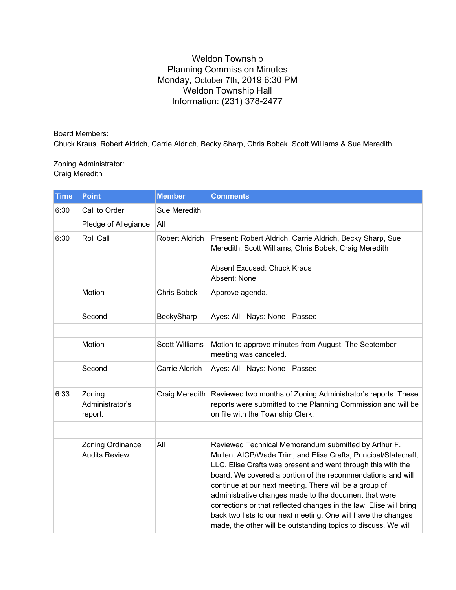## Weldon Township Planning Commission Minutes Monday, October 7th, 2019 6:30 PM Weldon Township Hall Information: (231) 378-2477

Board Members: Chuck Kraus, Robert Aldrich, Carrie Aldrich, Becky Sharp, Chris Bobek, Scott Williams & Sue Meredith

## Zoning Administrator: Craig Meredith

| <b>Time</b> | <b>Point</b>                             | <b>Member</b>         | <b>Comments</b>                                                                                                                                                                                                                                                                                                                                                                                                                                                                                                                                                                    |
|-------------|------------------------------------------|-----------------------|------------------------------------------------------------------------------------------------------------------------------------------------------------------------------------------------------------------------------------------------------------------------------------------------------------------------------------------------------------------------------------------------------------------------------------------------------------------------------------------------------------------------------------------------------------------------------------|
| 6:30        | Call to Order                            | Sue Meredith          |                                                                                                                                                                                                                                                                                                                                                                                                                                                                                                                                                                                    |
|             | Pledge of Allegiance                     | All                   |                                                                                                                                                                                                                                                                                                                                                                                                                                                                                                                                                                                    |
| 6:30        | Roll Call                                | Robert Aldrich        | Present: Robert Aldrich, Carrie Aldrich, Becky Sharp, Sue<br>Meredith, Scott Williams, Chris Bobek, Craig Meredith<br>Absent Excused: Chuck Kraus<br>Absent: None                                                                                                                                                                                                                                                                                                                                                                                                                  |
|             | Motion                                   | <b>Chris Bobek</b>    | Approve agenda.                                                                                                                                                                                                                                                                                                                                                                                                                                                                                                                                                                    |
|             | Second                                   | BeckySharp            | Ayes: All - Nays: None - Passed                                                                                                                                                                                                                                                                                                                                                                                                                                                                                                                                                    |
|             |                                          |                       |                                                                                                                                                                                                                                                                                                                                                                                                                                                                                                                                                                                    |
|             | Motion                                   | <b>Scott Williams</b> | Motion to approve minutes from August. The September<br>meeting was canceled.                                                                                                                                                                                                                                                                                                                                                                                                                                                                                                      |
|             | Second                                   | Carrie Aldrich        | Ayes: All - Nays: None - Passed                                                                                                                                                                                                                                                                                                                                                                                                                                                                                                                                                    |
| 6:33        | Zoning<br>Administrator's<br>report.     | Craig Meredith        | Reviewed two months of Zoning Administrator's reports. These<br>reports were submitted to the Planning Commission and will be<br>on file with the Township Clerk.                                                                                                                                                                                                                                                                                                                                                                                                                  |
|             |                                          |                       |                                                                                                                                                                                                                                                                                                                                                                                                                                                                                                                                                                                    |
|             | Zoning Ordinance<br><b>Audits Review</b> | All                   | Reviewed Technical Memorandum submitted by Arthur F.<br>Mullen, AICP/Wade Trim, and Elise Crafts, Principal/Statecraft,<br>LLC. Elise Crafts was present and went through this with the<br>board. We covered a portion of the recommendations and will<br>continue at our next meeting. There will be a group of<br>administrative changes made to the document that were<br>corrections or that reflected changes in the law. Elise will bring<br>back two lists to our next meeting. One will have the changes<br>made, the other will be outstanding topics to discuss. We will |